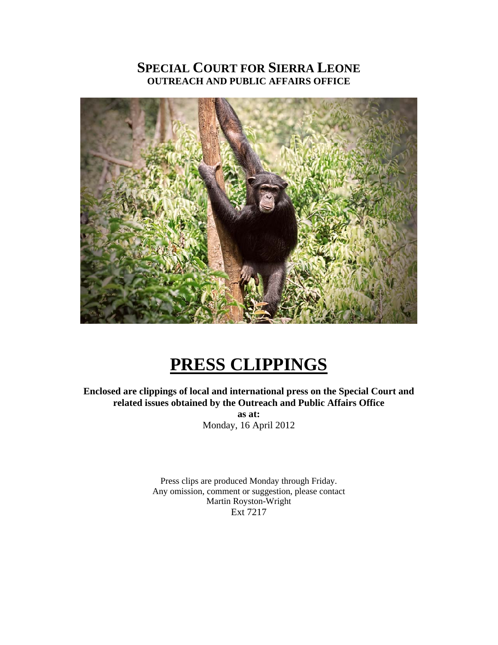# **SPECIAL COURT FOR SIERRA LEONE OUTREACH AND PUBLIC AFFAIRS OFFICE**



# **PRESS CLIPPINGS**

**Enclosed are clippings of local and international press on the Special Court and related issues obtained by the Outreach and Public Affairs Office as at:**  Monday, 16 April 2012

> Press clips are produced Monday through Friday. Any omission, comment or suggestion, please contact Martin Royston-Wright Ext 7217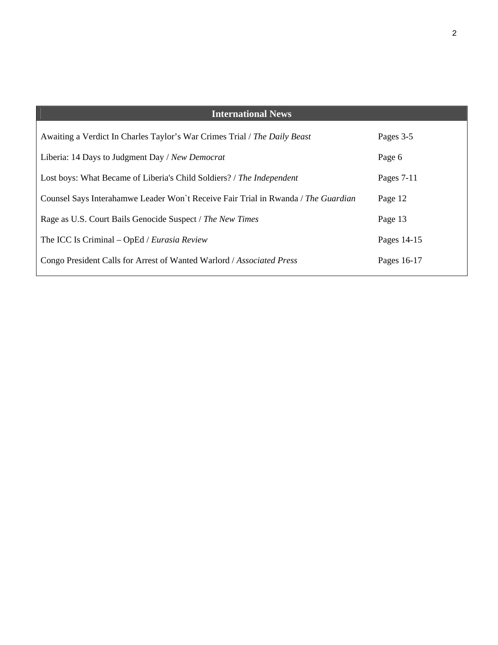| <b>International News</b>                                                         |             |
|-----------------------------------------------------------------------------------|-------------|
| Awaiting a Verdict In Charles Taylor's War Crimes Trial / The Daily Beast         | Pages 3-5   |
| Liberia: 14 Days to Judgment Day / New Democrat                                   | Page 6      |
| Lost boys: What Became of Liberia's Child Soldiers? / The Independent             | Pages 7-11  |
| Counsel Says Interahamwe Leader Won't Receive Fair Trial in Rwanda / The Guardian | Page 12     |
| Rage as U.S. Court Bails Genocide Suspect / The New Times                         | Page 13     |
| The ICC Is Criminal – OpEd / <i>Eurasia Review</i>                                | Pages 14-15 |
| Congo President Calls for Arrest of Wanted Warlord / Associated Press             | Pages 16-17 |

 $\overline{\phantom{a}}$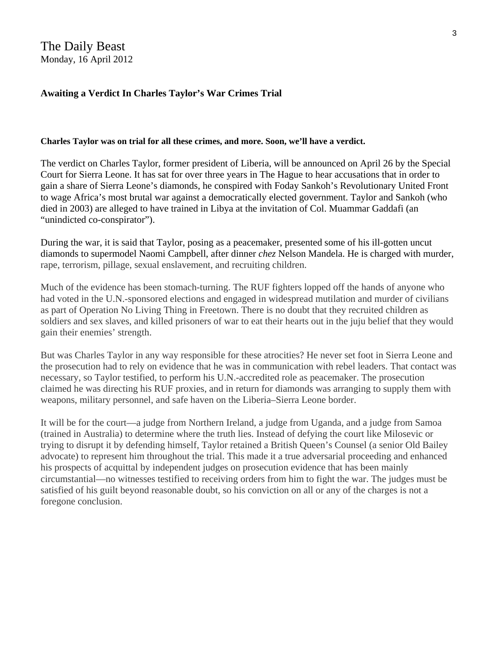#### **Awaiting a Verdict In Charles Taylor's War Crimes Trial**

#### **Charles Taylor was on trial for all these crimes, and more. Soon, we'll have a verdict.**

The verdict on [Charles Taylor,](http://www.thedailybeast.com/videos/2012/01/26/leymah-gbowee-talks-to-tina-brown-about-confronting-charles-taylor.html) former president of Liberia, will be announced on April 26 by the Special Court for [Sierra Leone.](http://www.ft.com/intl/cms/s/0/5ab9fe9c-84a2-11e1-b4f5-00144feab49a.html#axzz1s1WGWMW1) It has sat for over three years in The Hague to hear accusations that in order to gain a share of Sierra Leone's diamonds, he conspired with Foday Sankoh's Revolutionary United Front to wage Africa's most brutal war against a democratically elected government. Taylor and Sankoh (who died in 2003) are alleged to have trained in Libya at the invitation of Col. Muammar Gaddafi (an "unindicted co-conspirator").

During the war, it is said that Taylor, posing as a peacemaker, presented some of his ill-gotten uncut diamonds to supermodel [Naomi Campbell](http://www.thedailybeast.com/articles/2010/07/01/naomi-campbells-blood-diamond-episode-draws-attention-to-war-crimes-tribunal.html), after dinner *chez* Nelson Mandela. He is charged with murder, rape, terrorism, pillage, sexual enslavement, and recruiting children.

Much of the evidence has been stomach-turning. The RUF fighters lopped off the hands of anyone who had voted in the U.N.-sponsored elections and engaged in widespread mutilation and murder of civilians as part of Operation No Living Thing in Freetown. There is no doubt that they recruited children as soldiers and sex slaves, and killed prisoners of war to eat their hearts out in the juju belief that they would gain their enemies' strength.

But was Charles Taylor in any way responsible for these atrocities? He never set foot in Sierra Leone and the prosecution had to rely on evidence that he was in communication with rebel leaders. That contact was necessary, so Taylor testified, to perform his U.N.-accredited role as peacemaker. The prosecution claimed he was directing his RUF proxies, and in return for diamonds was arranging to supply them with weapons, military personnel, and safe haven on the Liberia–Sierra Leone border.

It will be for the court—a judge from Northern Ireland, a judge from Uganda, and a judge from Samoa (trained in Australia) to determine where the truth lies. Instead of defying the court like Milosevic or trying to disrupt it by defending himself, Taylor retained a British Queen's Counsel (a senior Old Bailey advocate) to represent him throughout the trial. This made it a true adversarial proceeding and enhanced his prospects of acquittal by independent judges on prosecution evidence that has been mainly circumstantial—no witnesses testified to receiving orders from him to fight the war. The judges must be satisfied of his guilt beyond reasonable doubt, so his conviction on all or any of the charges is not a foregone conclusion.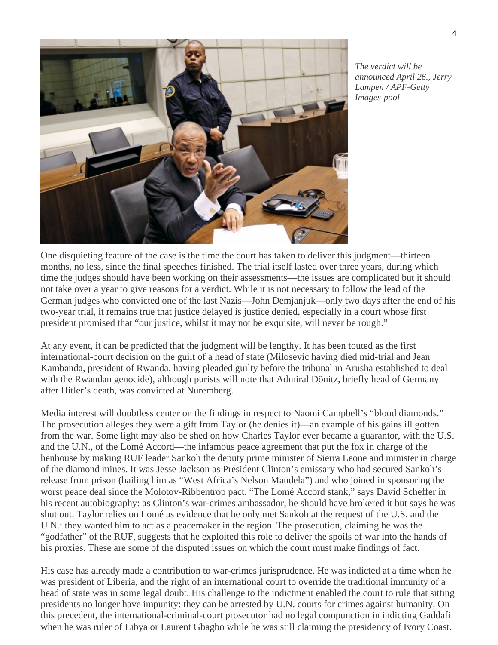

*The verdict will be announced April 26., Jerry Lampen / APF-Getty Images-pool* 

One disquieting feature of the case is the time the court has taken to deliver this judgment—thirteen months, no less, since the final speeches finished. The trial itself lasted over three years, during which time the judges should have been working on their assessments—the issues are complicated but it should not take over a year to give reasons for a verdict. While it is not necessary to follow the lead of the German judges who convicted one of the last Nazis—John Demjanjuk—only two days after the end of his two-year trial, it remains true that justice delayed is justice denied, especially in a court whose first president promised that "our justice, whilst it may not be exquisite, will never be rough."

At any event, it can be predicted that the judgment will be lengthy. It has been touted as the first international-court decision on the guilt of a head of state (Milosevic having died mid-trial and Jean Kambanda, president of Rwanda, having pleaded guilty before the tribunal in Arusha established to deal with the Rwandan genocide), although purists will note that Admiral Dönitz, briefly head of Germany after Hitler's death, was convicted at Nuremberg.

Media interest will doubtless center on the findings in respect to Naomi Campbell's "blood diamonds." The prosecution alleges they were a gift from Taylor (he denies it)—an example of his gains ill gotten from the war. Some light may also be shed on how Charles Taylor ever became a guarantor, with the U.S. and the U.N., of the Lomé Accord—the infamous peace agreement that put the fox in charge of the henhouse by making RUF leader Sankoh the deputy prime minister of Sierra Leone and minister in charge of the diamond mines. It was Jesse Jackson as President Clinton's emissary who had secured Sankoh's release from prison (hailing him as "West Africa's Nelson Mandela") and who joined in sponsoring the worst peace deal since the Molotov-Ribbentrop pact. "The Lomé Accord stank," says David Scheffer in his recent autobiography: as Clinton's war-crimes ambassador, he should have brokered it but says he was shut out. Taylor relies on Lomé as evidence that he only met Sankoh at the request of the U.S. and the U.N.: they wanted him to act as a peacemaker in the region. The prosecution, claiming he was the "godfather" of the RUF, suggests that he exploited this role to deliver the spoils of war into the hands of his proxies. These are some of the disputed issues on which the court must make findings of fact.

His case has already made a contribution to war-crimes jurisprudence. He was indicted at a time when he was president of Liberia, and the right of an international court to override the traditional immunity of a head of state was in some legal doubt. His challenge to the indictment enabled the court to rule that sitting presidents no longer have impunity: they can be arrested by U.N. courts for crimes against humanity. On this precedent, the international-criminal-court prosecutor had no legal compunction in indicting Gaddafi when he was ruler of Libya or Laurent Gbagbo while he was still claiming the presidency of Ivory Coast.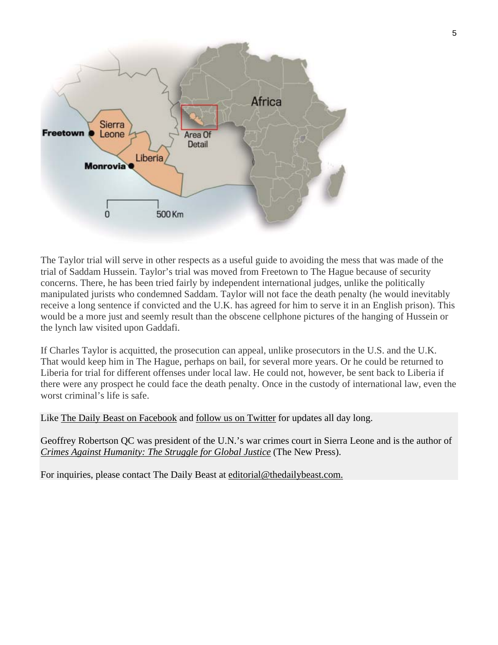

The Taylor trial will serve in other respects as a useful guide to avoiding the mess that was made of the trial of Saddam Hussein. Taylor's trial was moved from Freetown to The Hague because of security concerns. There, he has been tried fairly by independent international judges, unlike the politically manipulated jurists who condemned Saddam. Taylor will not face the death penalty (he would inevitably receive a long sentence if convicted and the U.K. has agreed for him to serve it in an English prison). This would be a more just and seemly result than the obscene cellphone pictures of the hanging of Hussein or the lynch law visited upon Gaddafi.

If Charles Taylor is acquitted, the prosecution can appeal, unlike prosecutors in the U.S. and the U.K. That would keep him in The Hague, perhaps on bail, for several more years. Or he could be returned to Liberia for trial for different offenses under local law. He could not, however, be sent back to Liberia if there were any prospect he could face the death penalty. Once in the custody of international law, even the worst criminal's life is safe.

Like [The Daily Beast on Facebook](http://www.facebook.com/thedailybeast) and [follow us on Twitter](http://twitter.com/thedailybeast) for updates all day long.

Geoffrey Robertson QC was president of the U.N.'s war crimes court in Sierra Leone and is the author of *[Crimes Against Humanity: The Struggle for Global Justice](http://www.amazon.com/exec/obidos/ASIN/1595580719/thedaibea-20)* (The New Press).

For inquiries, please contact The Daily Beast at [editorial@thedailybeast.com.](mailto:editorial@thedailybeast.com)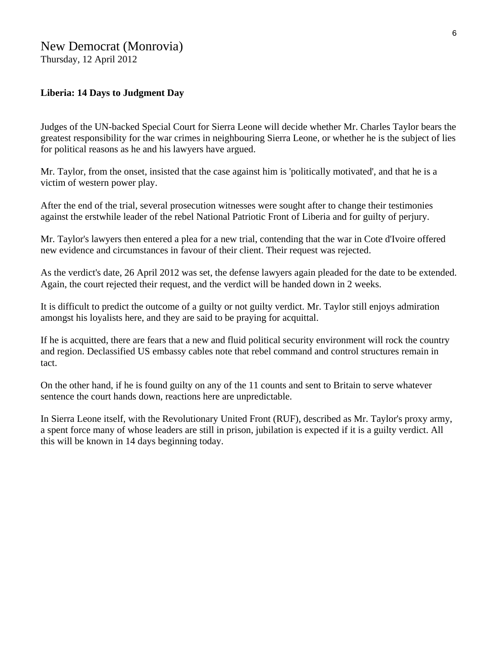# New Democrat (Monrovia)

Thursday, 12 April 2012

#### **Liberia: 14 Days to Judgment Day**

Judges of the UN-backed Special Court for Sierra Leone will decide whether Mr. Charles Taylor bears the greatest responsibility for the war crimes in neighbouring Sierra Leone, or whether he is the subject of lies for political reasons as he and his lawyers have argued.

Mr. Taylor, from the onset, insisted that the case against him is 'politically motivated', and that he is a victim of western power play.

After the end of the trial, several prosecution witnesses were sought after to change their testimonies against the erstwhile leader of the rebel National Patriotic Front of Liberia and for guilty of perjury.

Mr. Taylor's lawyers then entered a plea for a new trial, contending that the war in Cote d'Ivoire offered new evidence and circumstances in favour of their client. Their request was rejected.

As the verdict's date, 26 April 2012 was set, the defense lawyers again pleaded for the date to be extended. Again, the court rejected their request, and the verdict will be handed down in 2 weeks.

It is difficult to predict the outcome of a guilty or not guilty verdict. Mr. Taylor still enjoys admiration amongst his loyalists here, and they are said to be praying for acquittal.

If he is acquitted, there are fears that a new and fluid political security environment will rock the country and region. Declassified US embassy cables note that rebel command and control structures remain in tact.

On the other hand, if he is found guilty on any of the 11 counts and sent to Britain to serve whatever sentence the court hands down, reactions here are unpredictable.

In Sierra Leone itself, with the Revolutionary United Front (RUF), described as Mr. Taylor's proxy army, a spent force many of whose leaders are still in prison, jubilation is expected if it is a guilty verdict. All this will be known in 14 days beginning today.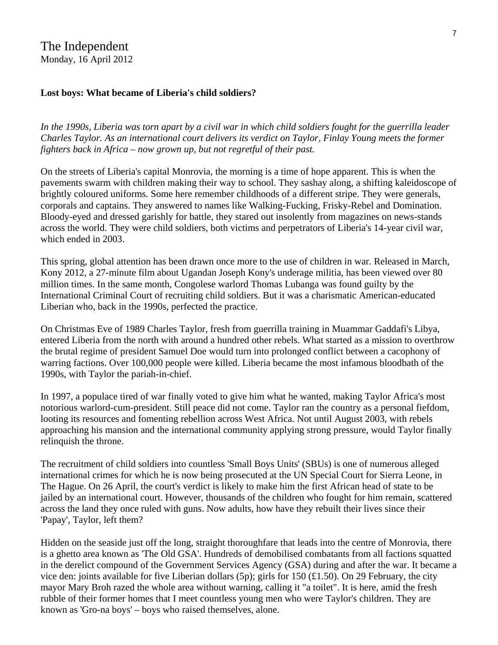#### **Lost boys: What became of Liberia's child soldiers?**

*In the 1990s, Liberia was torn apart by a civil war in which child soldiers fought for the guerrilla leader Charles Taylor. As an international court delivers its verdict on Taylor, Finlay Young meets the former fighters back in Africa – now grown up, but not regretful of their past.* 

On the streets of Liberia's capital Monrovia, the morning is a time of hope apparent. This is when the pavements swarm with children making their way to school. They sashay along, a shifting kaleidoscope of brightly coloured uniforms. Some here remember childhoods of a different stripe. They were generals, corporals and captains. They answered to names like Walking-Fucking, Frisky-Rebel and Domination. Bloody-eyed and dressed garishly for battle, they stared out insolently from magazines on news-stands across the world. They were child soldiers, both victims and perpetrators of Liberia's 14-year civil war, which ended in 2003.

This spring, global attention has been drawn once more to the use of children in war. Released in March, Kony 2012, a 27-minute film about Ugandan Joseph Kony's underage militia, has been viewed over 80 million times. In the same month, Congolese warlord Thomas Lubanga was found guilty by the International Criminal Court of recruiting child soldiers. But it was a charismatic American-educated Liberian who, back in the 1990s, perfected the practice.

On Christmas Eve of 1989 Charles Taylor, fresh from guerrilla training in Muammar Gaddafi's Libya, entered Liberia from the north with around a hundred other rebels. What started as a mission to overthrow the brutal regime of president Samuel Doe would turn into prolonged conflict between a cacophony of warring factions. Over 100,000 people were killed. Liberia became the most infamous bloodbath of the 1990s, with Taylor the pariah-in-chief.

In 1997, a populace tired of war finally voted to give him what he wanted, making Taylor Africa's most notorious warlord-cum-president. Still peace did not come. Taylor ran the country as a personal fiefdom, looting its resources and fomenting rebellion across West Africa. Not until August 2003, with rebels approaching his mansion and the international community applying strong pressure, would Taylor finally relinquish the throne.

The recruitment of child soldiers into countless 'Small Boys Units' (SBUs) is one of numerous alleged international crimes for which he is now being prosecuted at the UN Special Court for Sierra Leone, in The Hague. On 26 April, the court's verdict is likely to make him the first African head of state to be jailed by an international court. However, thousands of the children who fought for him remain, scattered across the land they once ruled with guns. Now adults, how have they rebuilt their lives since their 'Papay', Taylor, left them?

Hidden on the seaside just off the long, straight thoroughfare that leads into the centre of Monrovia, there is a ghetto area known as 'The Old GSA'. Hundreds of demobilised combatants from all factions squatted in the derelict compound of the Government Services Agency (GSA) during and after the war. It became a vice den: joints available for five Liberian dollars (5p); girls for 150 (£1.50). On 29 February, the city mayor Mary Broh razed the whole area without warning, calling it "a toilet". It is here, amid the fresh rubble of their former homes that I meet countless young men who were Taylor's children. They are known as 'Gro-na boys' – boys who raised themselves, alone.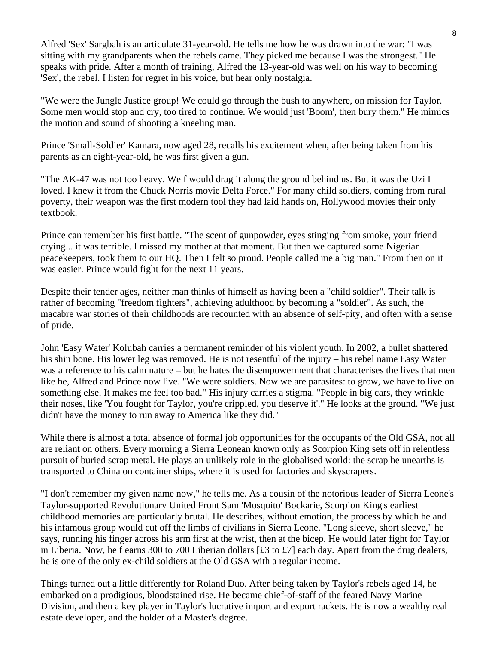Alfred 'Sex' Sargbah is an articulate 31-year-old. He tells me how he was drawn into the war: "I was sitting with my grandparents when the rebels came. They picked me because I was the strongest." He speaks with pride. After a month of training, Alfred the 13-year-old was well on his way to becoming 'Sex', the rebel. I listen for regret in his voice, but hear only nostalgia.

"We were the Jungle Justice group! We could go through the bush to anywhere, on mission for Taylor. Some men would stop and cry, too tired to continue. We would just 'Boom', then bury them." He mimics the motion and sound of shooting a kneeling man.

Prince 'Small-Soldier' Kamara, now aged 28, recalls his excitement when, after being taken from his parents as an eight-year-old, he was first given a gun.

"The AK-47 was not too heavy. We f would drag it along the ground behind us. But it was the Uzi I loved. I knew it from the Chuck Norris movie Delta Force." For many child soldiers, coming from rural poverty, their weapon was the first modern tool they had laid hands on, Hollywood movies their only textbook.

Prince can remember his first battle. "The scent of gunpowder, eyes stinging from smoke, your friend crying... it was terrible. I missed my mother at that moment. But then we captured some Nigerian peacekeepers, took them to our HQ. Then I felt so proud. People called me a big man." From then on it was easier. Prince would fight for the next 11 years.

Despite their tender ages, neither man thinks of himself as having been a "child soldier". Their talk is rather of becoming "freedom fighters", achieving adulthood by becoming a "soldier". As such, the macabre war stories of their childhoods are recounted with an absence of self-pity, and often with a sense of pride.

John 'Easy Water' Kolubah carries a permanent reminder of his violent youth. In 2002, a bullet shattered his shin bone. His lower leg was removed. He is not resentful of the injury – his rebel name Easy Water was a reference to his calm nature – but he hates the disempowerment that characterises the lives that men like he, Alfred and Prince now live. "We were soldiers. Now we are parasites: to grow, we have to live on something else. It makes me feel too bad." His injury carries a stigma. "People in big cars, they wrinkle their noses, like 'You fought for Taylor, you're crippled, you deserve it'." He looks at the ground. "We just didn't have the money to run away to America like they did."

While there is almost a total absence of formal job opportunities for the occupants of the Old GSA, not all are reliant on others. Every morning a Sierra Leonean known only as Scorpion King sets off in relentless pursuit of buried scrap metal. He plays an unlikely role in the globalised world: the scrap he unearths is transported to China on container ships, where it is used for factories and skyscrapers.

"I don't remember my given name now," he tells me. As a cousin of the notorious leader of Sierra Leone's Taylor-supported Revolutionary United Front Sam 'Mosquito' Bockarie, Scorpion King's earliest childhood memories are particularly brutal. He describes, without emotion, the process by which he and his infamous group would cut off the limbs of civilians in Sierra Leone. "Long sleeve, short sleeve," he says, running his finger across his arm first at the wrist, then at the bicep. He would later fight for Taylor in Liberia. Now, he f earns 300 to 700 Liberian dollars [£3 to £7] each day. Apart from the drug dealers, he is one of the only ex-child soldiers at the Old GSA with a regular income.

Things turned out a little differently for Roland Duo. After being taken by Taylor's rebels aged 14, he embarked on a prodigious, bloodstained rise. He became chief-of-staff of the feared Navy Marine Division, and then a key player in Taylor's lucrative import and export rackets. He is now a wealthy real estate developer, and the holder of a Master's degree.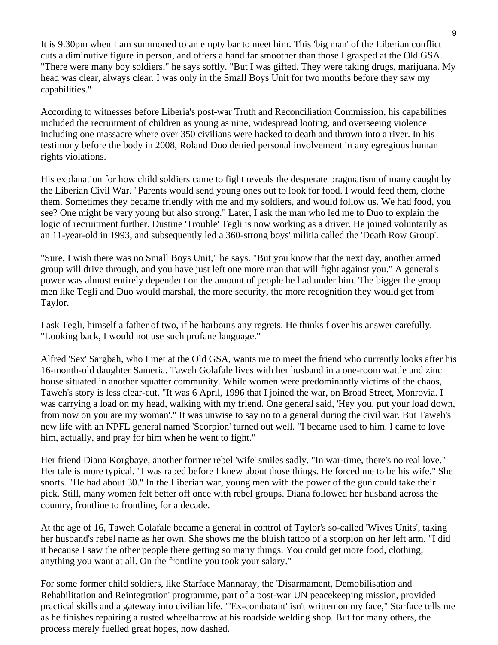It is 9.30pm when I am summoned to an empty bar to meet him. This 'big man' of the Liberian conflict cuts a diminutive figure in person, and offers a hand far smoother than those I grasped at the Old GSA. "There were many boy soldiers," he says softly. "But I was gifted. They were taking drugs, marijuana. My head was clear, always clear. I was only in the Small Boys Unit for two months before they saw my capabilities."

According to witnesses before Liberia's post-war Truth and Reconciliation Commission, his capabilities included the recruitment of children as young as nine, widespread looting, and overseeing violence including one massacre where over 350 civilians were hacked to death and thrown into a river. In his testimony before the body in 2008, Roland Duo denied personal involvement in any egregious human rights violations.

His explanation for how child soldiers came to fight reveals the desperate pragmatism of many caught by the Liberian Civil War. "Parents would send young ones out to look for food. I would feed them, clothe them. Sometimes they became friendly with me and my soldiers, and would follow us. We had food, you see? One might be very young but also strong." Later, I ask the man who led me to Duo to explain the logic of recruitment further. Dustine 'Trouble' Tegli is now working as a driver. He joined voluntarily as an 11-year-old in 1993, and subsequently led a 360-strong boys' militia called the 'Death Row Group'.

"Sure, I wish there was no Small Boys Unit," he says. "But you know that the next day, another armed group will drive through, and you have just left one more man that will fight against you." A general's power was almost entirely dependent on the amount of people he had under him. The bigger the group men like Tegli and Duo would marshal, the more security, the more recognition they would get from Taylor.

I ask Tegli, himself a father of two, if he harbours any regrets. He thinks f over his answer carefully. "Looking back, I would not use such profane language."

Alfred 'Sex' Sargbah, who I met at the Old GSA, wants me to meet the friend who currently looks after his 16-month-old daughter Sameria. Taweh Golafale lives with her husband in a one-room wattle and zinc house situated in another squatter community. While women were predominantly victims of the chaos, Taweh's story is less clear-cut. "It was 6 April, 1996 that I joined the war, on Broad Street, Monrovia. I was carrying a load on my head, walking with my friend. One general said, 'Hey you, put your load down, from now on you are my woman'." It was unwise to say no to a general during the civil war. But Taweh's new life with an NPFL general named 'Scorpion' turned out well. "I became used to him. I came to love him, actually, and pray for him when he went to fight."

Her friend Diana Korgbaye, another former rebel 'wife' smiles sadly. "In war-time, there's no real love." Her tale is more typical. "I was raped before I knew about those things. He forced me to be his wife." She snorts. "He had about 30." In the Liberian war, young men with the power of the gun could take their pick. Still, many women felt better off once with rebel groups. Diana followed her husband across the country, frontline to frontline, for a decade.

At the age of 16, Taweh Golafale became a general in control of Taylor's so-called 'Wives Units', taking her husband's rebel name as her own. She shows me the bluish tattoo of a scorpion on her left arm. "I did it because I saw the other people there getting so many things. You could get more food, clothing, anything you want at all. On the frontline you took your salary."

For some former child soldiers, like Starface Mannaray, the 'Disarmament, Demobilisation and Rehabilitation and Reintegration' programme, part of a post-war UN peacekeeping mission, provided practical skills and a gateway into civilian life. "'Ex-combatant' isn't written on my face," Starface tells me as he finishes repairing a rusted wheelbarrow at his roadside welding shop. But for many others, the process merely fuelled great hopes, now dashed.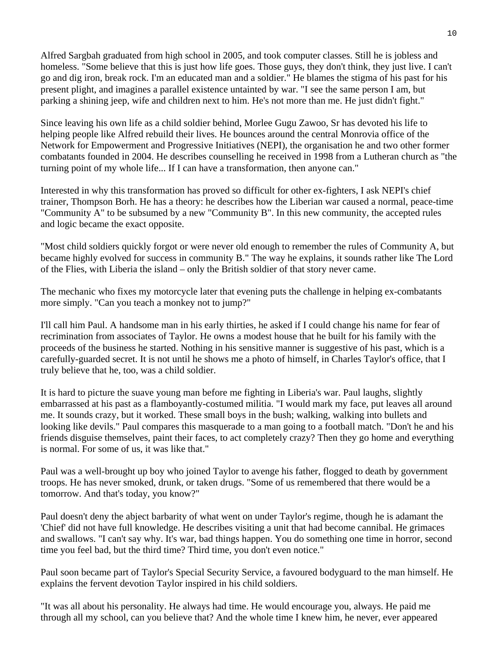Alfred Sargbah graduated from high school in 2005, and took computer classes. Still he is jobless and homeless. "Some believe that this is just how life goes. Those guys, they don't think, they just live. I can't go and dig iron, break rock. I'm an educated man and a soldier." He blames the stigma of his past for his present plight, and imagines a parallel existence untainted by war. "I see the same person I am, but parking a shining jeep, wife and children next to him. He's not more than me. He just didn't fight."

Since leaving his own life as a child soldier behind, Morlee Gugu Zawoo, Sr has devoted his life to helping people like Alfred rebuild their lives. He bounces around the central Monrovia office of the Network for Empowerment and Progressive Initiatives (NEPI), the organisation he and two other former combatants founded in 2004. He describes counselling he received in 1998 from a Lutheran church as "the turning point of my whole life... If I can have a transformation, then anyone can."

Interested in why this transformation has proved so difficult for other ex-fighters, I ask NEPI's chief trainer, Thompson Borh. He has a theory: he describes how the Liberian war caused a normal, peace-time "Community A" to be subsumed by a new "Community B". In this new community, the accepted rules and logic became the exact opposite.

"Most child soldiers quickly forgot or were never old enough to remember the rules of Community A, but became highly evolved for success in community B." The way he explains, it sounds rather like The Lord of the Flies, with Liberia the island – only the British soldier of that story never came.

The mechanic who fixes my motorcycle later that evening puts the challenge in helping ex-combatants more simply. "Can you teach a monkey not to jump?"

I'll call him Paul. A handsome man in his early thirties, he asked if I could change his name for fear of recrimination from associates of Taylor. He owns a modest house that he built for his family with the proceeds of the business he started. Nothing in his sensitive manner is suggestive of his past, which is a carefully-guarded secret. It is not until he shows me a photo of himself, in Charles Taylor's office, that I truly believe that he, too, was a child soldier.

It is hard to picture the suave young man before me fighting in Liberia's war. Paul laughs, slightly embarrassed at his past as a flamboyantly-costumed militia. "I would mark my face, put leaves all around me. It sounds crazy, but it worked. These small boys in the bush; walking, walking into bullets and looking like devils." Paul compares this masquerade to a man going to a football match. "Don't he and his friends disguise themselves, paint their faces, to act completely crazy? Then they go home and everything is normal. For some of us, it was like that."

Paul was a well-brought up boy who joined Taylor to avenge his father, flogged to death by government troops. He has never smoked, drunk, or taken drugs. "Some of us remembered that there would be a tomorrow. And that's today, you know?"

Paul doesn't deny the abject barbarity of what went on under Taylor's regime, though he is adamant the 'Chief' did not have full knowledge. He describes visiting a unit that had become cannibal. He grimaces and swallows. "I can't say why. It's war, bad things happen. You do something one time in horror, second time you feel bad, but the third time? Third time, you don't even notice."

Paul soon became part of Taylor's Special Security Service, a favoured bodyguard to the man himself. He explains the fervent devotion Taylor inspired in his child soldiers.

"It was all about his personality. He always had time. He would encourage you, always. He paid me through all my school, can you believe that? And the whole time I knew him, he never, ever appeared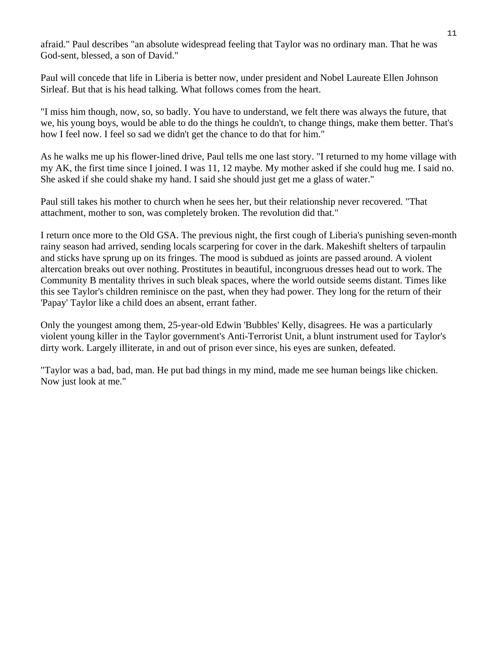afraid." Paul describes "an absolute widespread feeling that Taylor was no ordinary man. That he was God-sent, blessed, a son of David."

Paul will concede that life in Liberia is better now, under president and Nobel Laureate Ellen Johnson Sirleaf. But that is his head talking. What follows comes from the heart.

"I miss him though, now, so, so badly. You have to understand, we felt there was always the future, that we, his young boys, would be able to do the things he couldn't, to change things, make them better. That's how I feel now. I feel so sad we didn't get the chance to do that for him."

As he walks me up his flower-lined drive, Paul tells me one last story. "I returned to my home village with my AK, the first time since I joined. I was 11, 12 maybe. My mother asked if she could hug me. I said no. She asked if she could shake my hand. I said she should just get me a glass of water."

Paul still takes his mother to church when he sees her, but their relationship never recovered. "That attachment, mother to son, was completely broken. The revolution did that."

I return once more to the Old GSA. The previous night, the first cough of Liberia's punishing seven-month rainy season had arrived, sending locals scarpering for cover in the dark. Makeshift shelters of tarpaulin and sticks have sprung up on its fringes. The mood is subdued as joints are passed around. A violent altercation breaks out over nothing. Prostitutes in beautiful, incongruous dresses head out to work. The Community B mentality thrives in such bleak spaces, where the world outside seems distant. Times like this see Taylor's children reminisce on the past, when they had power. They long for the return of their 'Papay' Taylor like a child does an absent, errant father.

Only the youngest among them, 25-year-old Edwin 'Bubbles' Kelly, disagrees. He was a particularly violent young killer in the Taylor government's Anti-Terrorist Unit, a blunt instrument used for Taylor's dirty work. Largely illiterate, in and out of prison ever since, his eyes are sunken, defeated.

"Taylor was a bad, bad, man. He put bad things in my mind, made me see human beings like chicken. Now just look at me."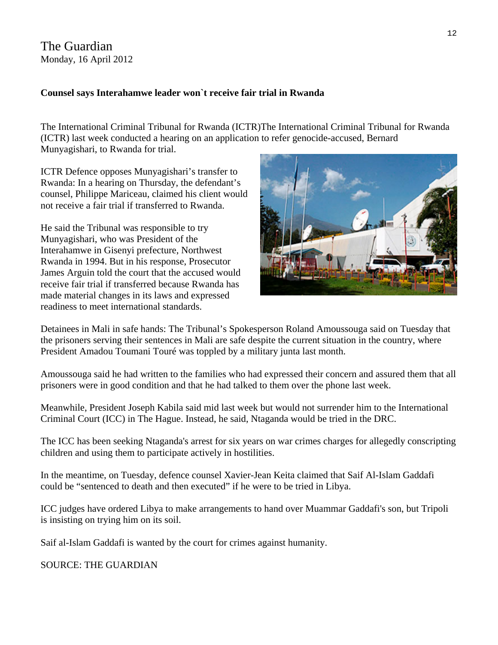# The Guardian Monday, 16 April 2012

#### **Counsel says Interahamwe leader won`t receive fair trial in Rwanda**

The International Criminal Tribunal for Rwanda (ICTR)The International Criminal Tribunal for Rwanda (ICTR) last week conducted a hearing on an application to refer genocide-accused, Bernard Munyagishari, to Rwanda for trial.

ICTR Defence opposes Munyagishari's transfer to Rwanda: In a hearing on Thursday, the defendant's counsel, Philippe Mariceau, claimed his client would not receive a fair trial if transferred to Rwanda.

He said the Tribunal was responsible to try Munyagishari, who was President of the Interahamwe in Gisenyi prefecture, Northwest Rwanda in 1994. But in his response, Prosecutor James Arguin told the court that the accused would receive fair trial if transferred because Rwanda has made material changes in its laws and expressed readiness to meet international standards.



Detainees in Mali in safe hands: The Tribunal's Spokesperson Roland Amoussouga said on Tuesday that the prisoners serving their sentences in Mali are safe despite the current situation in the country, where President Amadou Toumani Touré was toppled by a military junta last month.

Amoussouga said he had written to the families who had expressed their concern and assured them that all prisoners were in good condition and that he had talked to them over the phone last week.

Meanwhile, President Joseph Kabila said mid last week but would not surrender him to the International Criminal Court (ICC) in The Hague. Instead, he said, Ntaganda would be tried in the DRC.

The ICC has been seeking Ntaganda's arrest for six years on war crimes charges for allegedly conscripting children and using them to participate actively in hostilities.

In the meantime, on Tuesday, defence counsel Xavier-Jean Keita claimed that Saif Al-Islam Gaddafi could be "sentenced to death and then executed" if he were to be tried in Libya.

ICC judges have ordered Libya to make arrangements to hand over Muammar Gaddafi's son, but Tripoli is insisting on trying him on its soil.

Saif al-Islam Gaddafi is wanted by the court for crimes against humanity.

SOURCE: THE GUARDIAN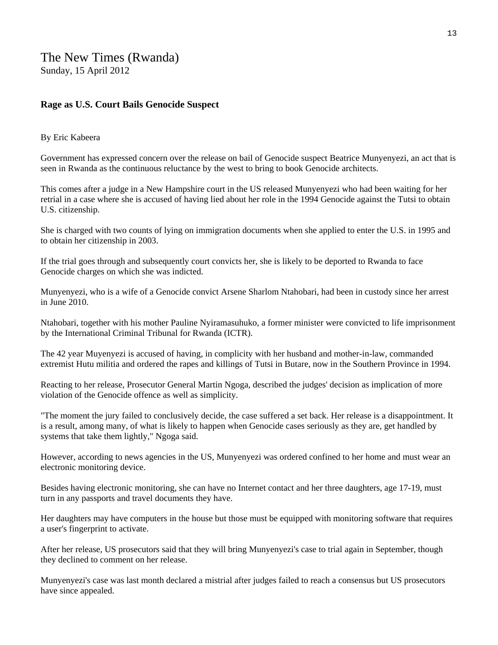#### **Rage as U.S. Court Bails Genocide Suspect**

#### By Eric Kabeera

Government has expressed concern over the release on bail of Genocide suspect Beatrice Munyenyezi, an act that is seen in Rwanda as the continuous reluctance by the west to bring to book Genocide architects.

This comes after a judge in a New Hampshire court in the US released Munyenyezi who had been waiting for her retrial in a case where she is accused of having lied about her role in the 1994 Genocide against the Tutsi to obtain U.S. citizenship.

She is charged with two counts of lying on immigration documents when she applied to enter the U.S. in 1995 and to obtain her citizenship in 2003.

If the trial goes through and subsequently court convicts her, she is likely to be deported to Rwanda to face Genocide charges on which she was indicted.

Munyenyezi, who is a wife of a Genocide convict Arsene Sharlom Ntahobari, had been in custody since her arrest in June 2010.

Ntahobari, together with his mother Pauline Nyiramasuhuko, a former minister were convicted to life imprisonment by the International Criminal Tribunal for Rwanda (ICTR).

The 42 year Muyenyezi is accused of having, in complicity with her husband and mother-in-law, commanded extremist Hutu militia and ordered the rapes and killings of Tutsi in Butare, now in the Southern Province in 1994.

Reacting to her release, Prosecutor General Martin Ngoga, described the judges' decision as implication of more violation of the Genocide offence as well as simplicity.

"The moment the jury failed to conclusively decide, the case suffered a set back. Her release is a disappointment. It is a result, among many, of what is likely to happen when Genocide cases seriously as they are, get handled by systems that take them lightly," Ngoga said.

However, according to news agencies in the US, Munyenyezi was ordered confined to her home and must wear an electronic monitoring device.

Besides having electronic monitoring, she can have no Internet contact and her three daughters, age 17-19, must turn in any passports and travel documents they have.

Her daughters may have computers in the house but those must be equipped with monitoring software that requires a user's fingerprint to activate.

After her release, US prosecutors said that they will bring Munyenyezi's case to trial again in September, though they declined to comment on her release.

Munyenyezi's case was last month declared a mistrial after judges failed to reach a consensus but US prosecutors have since appealed.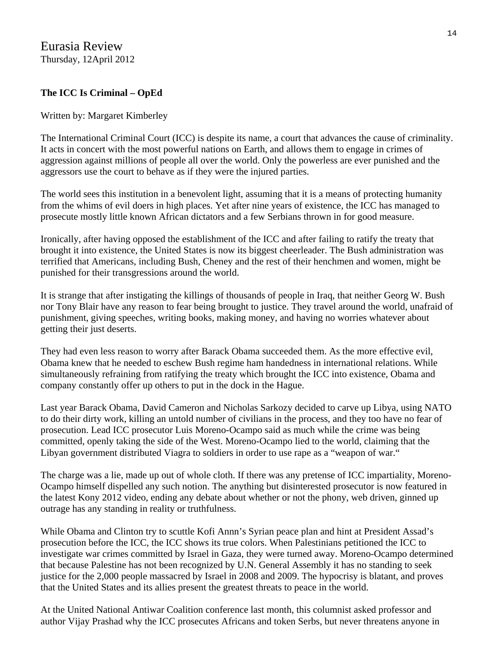## **The ICC Is Criminal – OpEd**

#### Written by: Margaret Kimberley

The International Criminal Court (ICC) is despite its name, a court that advances the cause of criminality. It acts in concert with the most powerful nations on Earth, and allows them to engage in crimes of aggression against millions of people all over the world. Only the powerless are ever punished and the aggressors use the court to behave as if they were the injured parties.

The world sees this institution in a benevolent light, assuming that it is a means of protecting humanity from the whims of evil doers in high places. Yet after nine years of existence, the ICC has managed to prosecute mostly little known African dictators and a few Serbians thrown in for good measure.

Ironically, after having opposed the establishment of the ICC and after failing to ratify the treaty that brought it into existence, the United States is now its biggest cheerleader. The Bush administration was terrified that Americans, including Bush, Cheney and the rest of their henchmen and women, might be punished for their transgressions around the world.

It is strange that after instigating the killings of thousands of people in Iraq, that neither Georg W. Bush nor Tony Blair have any reason to fear being brought to justice. They travel around the world, unafraid of punishment, giving speeches, writing books, making money, and having no worries whatever about getting their just deserts.

They had even less reason to worry after Barack Obama succeeded them. As the more effective evil, Obama knew that he needed to eschew Bush regime ham handedness in international relations. While simultaneously refraining from ratifying the treaty which brought the ICC into existence, Obama and company constantly offer up others to put in the dock in the Hague.

Last year Barack Obama, David Cameron and Nicholas Sarkozy decided to carve up Libya, using NATO to do their dirty work, killing an untold number of civilians in the process, and they too have no fear of prosecution. Lead ICC prosecutor Luis Moreno-Ocampo said as much while the crime was being committed, openly taking the side of the West. Moreno-Ocampo lied to the world, claiming that the Libyan government distributed Viagra to soldiers in order to use rape as a "weapon of war."

The charge was a lie, made up out of whole cloth. If there was any pretense of ICC impartiality, Moreno-Ocampo himself dispelled any such notion. The anything but disinterested prosecutor is now featured in the latest Kony 2012 video, ending any debate about whether or not the phony, web driven, ginned up outrage has any standing in reality or truthfulness.

While Obama and Clinton try to scuttle Kofi Annn's Syrian peace plan and hint at President Assad's prosecution before the ICC, the ICC shows its true colors. When Palestinians petitioned the ICC to investigate war crimes committed by Israel in Gaza, they were turned away. Moreno-Ocampo determined that because Palestine has not been recognized by U.N. General Assembly it has no standing to seek justice for the 2,000 people massacred by Israel in 2008 and 2009. The hypocrisy is blatant, and proves that the United States and its allies present the greatest threats to peace in the world.

At the United National Antiwar Coalition conference last month, this columnist asked professor and author Vijay Prashad why the ICC prosecutes Africans and token Serbs, but never threatens anyone in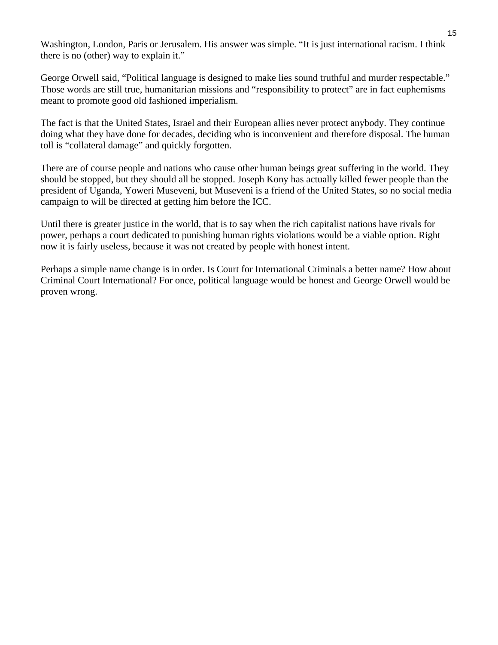Washington, London, Paris or Jerusalem. His answer was simple. "It is just international racism. I think there is no (other) way to explain it."

George Orwell said, "Political language is designed to make lies sound truthful and murder respectable." Those words are still true, humanitarian missions and "responsibility to protect" are in fact euphemisms meant to promote good old fashioned imperialism.

The fact is that the United States, Israel and their European allies never protect anybody. They continue doing what they have done for decades, deciding who is inconvenient and therefore disposal. The human toll is "collateral damage" and quickly forgotten.

There are of course people and nations who cause other human beings great suffering in the world. They should be stopped, but they should all be stopped. Joseph Kony has actually killed fewer people than the president of Uganda, Yoweri Museveni, but Museveni is a friend of the United States, so no social media campaign to will be directed at getting him before the ICC.

Until there is greater justice in the world, that is to say when the rich capitalist nations have rivals for power, perhaps a court dedicated to punishing human rights violations would be a viable option. Right now it is fairly useless, because it was not created by people with honest intent.

Perhaps a simple name change is in order. Is Court for International Criminals a better name? How about Criminal Court International? For once, political language would be honest and George Orwell would be proven wrong.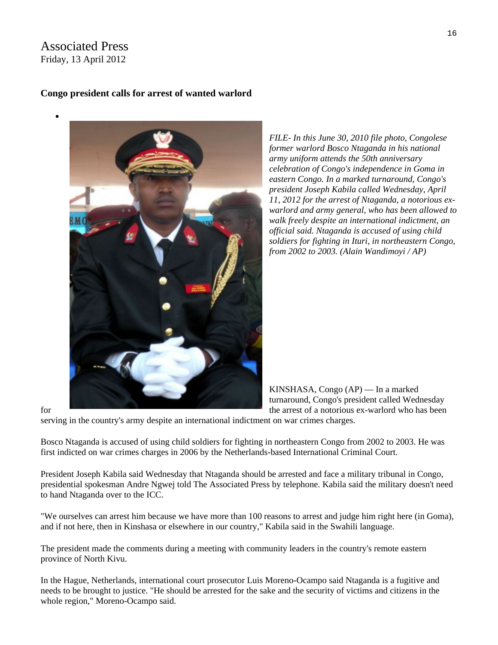## Associated Press Friday, 13 April 2012

•

#### **Congo president calls for arrest of wanted warlord**

*FILE- In this June 30, 2010 file photo, Congolese former warlord Bosco Ntaganda in his national army uniform attends the 50th anniversary celebration of Congo's independence in Goma in eastern Congo. In a marked turnaround, Congo's president Joseph Kabila called Wednesday, April 11, 2012 for the arrest of Ntaganda, a notorious exwarlord and army general, who has been allowed to walk freely despite an international indictment, an official said. Ntaganda is accused of using child soldiers for fighting in Ituri, in northeastern Congo, from 2002 to 2003. (Alain Wandimoyi / AP)* 

KINSHASA, Congo (AP) — In a marked turnaround, Congo's president called Wednesday for the arrest of a notorious ex-warlord who has been

serving in the country's army despite an international indictment on war crimes charges.

Bosco Ntaganda is accused of using child soldiers for fighting in northeastern Congo from 2002 to 2003. He was first indicted on war crimes charges in 2006 by the Netherlands-based [International Criminal Court.](http://www.timesunion.com/?controllerName=search&action=search&channel=news&search=1&inlineLink=1&query=%22International+Criminal+Court%22)

President [Joseph Kabila](http://www.timesunion.com/?controllerName=search&action=search&channel=news&search=1&inlineLink=1&query=%22Joseph+Kabila%22) said Wednesday that Ntaganda should be arrested and face a military tribunal in Congo, presidential spokesman [Andre Ngwej](http://www.timesunion.com/?controllerName=search&action=search&channel=news&search=1&inlineLink=1&query=%22Andre+Ngwej%22) told [The Associated Press](http://www.timesunion.com/?controllerName=search&action=search&channel=news&search=1&inlineLink=1&query=%22The+Associated+Press%22) by telephone. Kabila said the military doesn't need to hand Ntaganda over to the ICC.

"We ourselves can arrest him because we have more than 100 reasons to arrest and judge him right here (in Goma), and if not here, then in Kinshasa or elsewhere in our country," Kabila said in the Swahili language.

The president made the comments during a meeting with community leaders in the country's remote eastern province of North Kivu.

In [the Hague,](http://www.timesunion.com/?controllerName=search&action=search&channel=news&search=1&inlineLink=1&query=%22the+Hague%22) Netherlands, international court prosecutor [Luis Moreno-Ocampo](http://www.timesunion.com/?controllerName=search&action=search&channel=news&search=1&inlineLink=1&query=%22Luis+Moreno-Ocampo%22) said Ntaganda is a fugitive and needs to be brought to justice. "He should be arrested for the sake and the security of victims and citizens in the whole region," Moreno-Ocampo said.